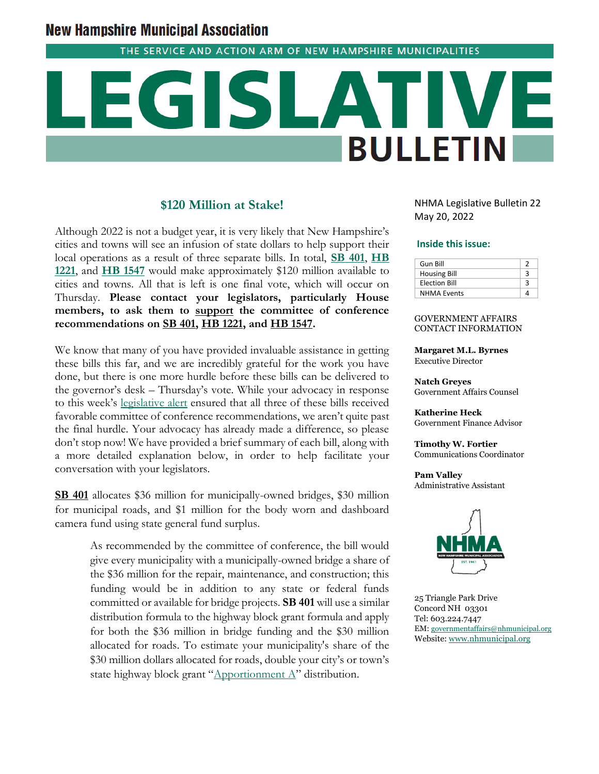# **New Hampshire Municipal Association**

THE SERVICE AND ACTION ARM OF NEW HAMPSHIRE MUNICIPALITIES

# **BULLETIN**

## **\$120 Million at Stake!**

Although 2022 is not a budget year, it is very likely that New Hampshire's cities and towns will see an infusion of state dollars to help support their local operations as a result of three separate bills. In total, **[SB 401](http://www.gencourt.state.nh.us/bill_status/billinfo.aspx?id=2027&inflect=2)**, **[HB](http://www.gencourt.state.nh.us/bill_status/billinfo.aspx?id=1384&inflect=2)  [1221](http://www.gencourt.state.nh.us/bill_status/billinfo.aspx?id=1384&inflect=2)**, and **[HB 1547](http://www.gencourt.state.nh.us/bill_status/billinfo.aspx?id=1301&inflect=2)** would make approximately \$120 million available to cities and towns. All that is left is one final vote, which will occur on Thursday. **Please contact your legislators, particularly House members, to ask them to support the committee of conference recommendations on SB 401, HB 1221, and HB 1547.**

We know that many of you have provided invaluable assistance in getting these bills this far, and we are incredibly grateful for the work you have done, but there is one more hurdle before these bills can be delivered to the governor's desk – Thursday's vote. While your advocacy in response to this week's [legislative alert](https://us19.campaign-archive.com/?u=469692bcc5ec82a6e2aecfa47&id=8cbd7b6abd) ensured that all three of these bills received favorable committee of conference recommendations, we aren't quite past the final hurdle. Your advocacy has already made a difference, so please don't stop now! We have provided a brief summary of each bill, along with a more detailed explanation below, in order to help facilitate your conversation with your legislators.

**SB 401** allocates \$36 million for municipally-owned bridges, \$30 million for municipal roads, and \$1 million for the body worn and dashboard camera fund using state general fund surplus.

> As recommended by the committee of conference, the bill would give every municipality with a municipally-owned bridge a share of the \$36 million for the repair, maintenance, and construction; this funding would be in addition to any state or federal funds committed or available for bridge projects. **SB 401** will use a similar distribution formula to the highway block grant formula and apply for both the \$36 million in bridge funding and the \$30 million allocated for roads. To estimate your municipality's share of the \$30 million dollars allocated for roads, double your city's or town's state highway block grant "[Apportionment A](https://www.nh.gov/dot/org/projectdevelopment/planning/documents/highway-grant-report.pdf)" distribution.

NHMA Legislative Bulletin 22 May 20, 2022

### **Inside this issue:**

| Gun Bill             |  |
|----------------------|--|
| <b>Housing Bill</b>  |  |
| <b>Election Bill</b> |  |
| <b>NHMA Events</b>   |  |

### GOVERNMENT AFFAIRS CONTACT INFORMATION

**Margaret M.L. Byrnes** Executive Director

**Natch Greyes** Government Affairs Counsel

**Katherine Heck** Government Finance Advisor

**Timothy W. Fortier** Communications Coordinator

**Pam Valley** Administrative Assistant



25 Triangle Park Drive Concord NH 03301 Tel: 603.224.7447 EM: [governmentaffairs@nhmunicipal.org](mailto:governmentaffairs@nhmunicipal.org) Website: [www.nhmunicipal.org](http://www.nhmunicipal.org/)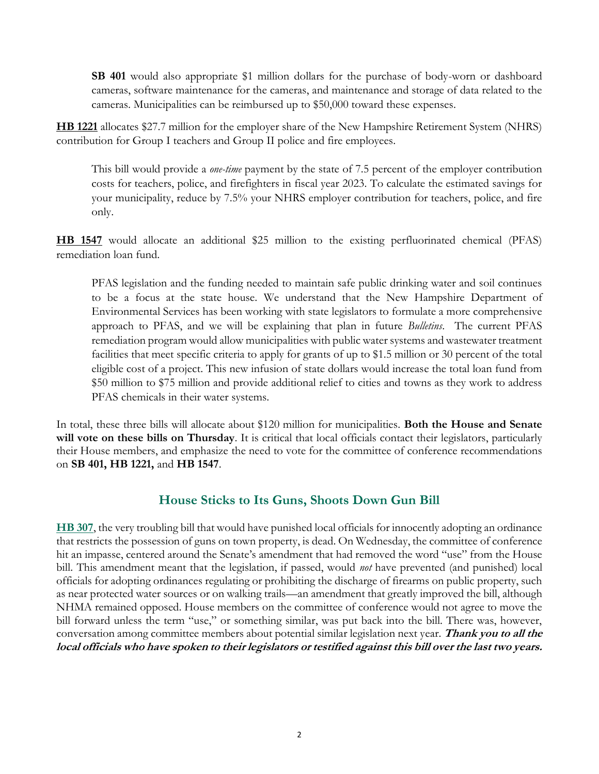**SB 401** would also appropriate \$1 million dollars for the purchase of body-worn or dashboard cameras, software maintenance for the cameras, and maintenance and storage of data related to the cameras. Municipalities can be reimbursed up to \$50,000 toward these expenses.

**HB 1221** allocates \$27.7 million for the employer share of the New Hampshire Retirement System (NHRS) contribution for Group I teachers and Group II police and fire employees.

This bill would provide a *one-time* payment by the state of 7.5 percent of the employer contribution costs for teachers, police, and firefighters in fiscal year 2023. To calculate the estimated savings for your municipality, reduce by 7.5% your NHRS employer contribution for teachers, police, and fire only.

**HB 1547** would allocate an additional \$25 million to the existing perfluorinated chemical (PFAS) remediation loan fund.

PFAS legislation and the funding needed to maintain safe public drinking water and soil continues to be a focus at the state house. We understand that the New Hampshire Department of Environmental Services has been working with state legislators to formulate a more comprehensive approach to PFAS, and we will be explaining that plan in future *Bulletins*. The current PFAS remediation program would allow municipalities with public water systems and wastewater treatment facilities that meet specific criteria to apply for grants of up to \$1.5 million or 30 percent of the total eligible cost of a project. This new infusion of state dollars would increase the total loan fund from \$50 million to \$75 million and provide additional relief to cities and towns as they work to address PFAS chemicals in their water systems.

In total, these three bills will allocate about \$120 million for municipalities. **Both the House and Senate will vote on these bills on Thursday**. It is critical that local officials contact their legislators, particularly their House members, and emphasize the need to vote for the committee of conference recommendations on **SB 401, HB 1221,** and **HB 1547**.

# **House Sticks to Its Guns, Shoots Down Gun Bill**

**[HB 307](http://www.gencourt.state.nh.us/bill_status/billinfo.aspx?id=536&inflect=2)**, the very troubling bill that would have punished local officials for innocently adopting an ordinance that restricts the possession of guns on town property, is dead. On Wednesday, the committee of conference hit an impasse, centered around the Senate's amendment that had removed the word "use" from the House bill. This amendment meant that the legislation, if passed, would *not* have prevented (and punished) local officials for adopting ordinances regulating or prohibiting the discharge of firearms on public property, such as near protected water sources or on walking trails—an amendment that greatly improved the bill, although NHMA remained opposed. House members on the committee of conference would not agree to move the bill forward unless the term "use," or something similar, was put back into the bill. There was, however, conversation among committee members about potential similar legislation next year. **Thank you to all the local officials who have spoken to their legislators or testified against this bill over the last two years.**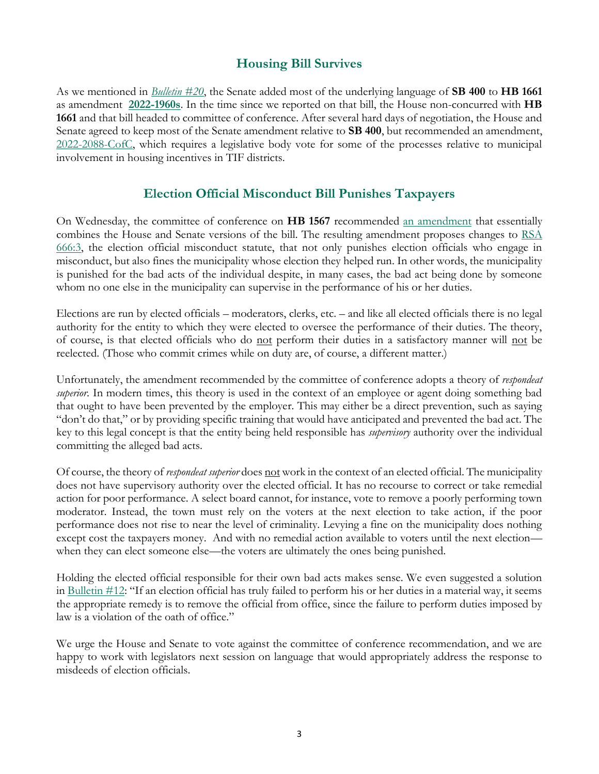# **Housing Bill Survives**

As we mentioned in *[Bulletin](https://www.nhmunicipal.org/legislative-bulletin/2022-nhma-legislative-bulletin-20#28154) #20*, the Senate added most of the underlying language of **SB 400** to **HB 1661** as amendment **[2022-1960s](http://www.gencourt.state.nh.us/bill_status/pdf.aspx?id=35860&q=amendment)**. In the time since we reported on that bill, the House non-concurred with **HB 1661** and that bill headed to committee of conference. After several hard days of negotiation, the House and Senate agreed to keep most of the Senate amendment relative to **SB 400**, but recommended an amendment, [2022-2088-CofC,](http://www.gencourt.state.nh.us/bill_status/pdf.aspx?id=36592&q=amendment) which requires a legislative body vote for some of the processes relative to municipal involvement in housing incentives in TIF districts.

# **Election Official Misconduct Bill Punishes Taxpayers**

On Wednesday, the committee of conference on **HB 1567** recommended [an amendment](http://www.gencourt.state.nh.us/bill_status/pdf.aspx?id=36550&q=amendment) that essentially combines the House and Senate versions of the bill. The resulting amendment proposes changes to [RSA](http://www.gencourt.state.nh.us/rsa/html/LXIII/666/666-3.htm)  [666:3,](http://www.gencourt.state.nh.us/rsa/html/LXIII/666/666-3.htm) the election official misconduct statute, that not only punishes election officials who engage in misconduct, but also fines the municipality whose election they helped run. In other words, the municipality is punished for the bad acts of the individual despite, in many cases, the bad act being done by someone whom no one else in the municipality can supervise in the performance of his or her duties.

Elections are run by elected officials – moderators, clerks, etc. – and like all elected officials there is no legal authority for the entity to which they were elected to oversee the performance of their duties. The theory, of course, is that elected officials who do not perform their duties in a satisfactory manner will not be reelected. (Those who commit crimes while on duty are, of course, a different matter.)

Unfortunately, the amendment recommended by the committee of conference adopts a theory of *respondeat superior*. In modern times, this theory is used in the context of an employee or agent doing something bad that ought to have been prevented by the employer. This may either be a direct prevention, such as saying "don't do that," or by providing specific training that would have anticipated and prevented the bad act. The key to this legal concept is that the entity being held responsible has *supervisory* authority over the individual committing the alleged bad acts.

Of course, the theory of *respondeat superior* does not work in the context of an elected official. The municipality does not have supervisory authority over the elected official. It has no recourse to correct or take remedial action for poor performance. A select board cannot, for instance, vote to remove a poorly performing town moderator. Instead, the town must rely on the voters at the next election to take action, if the poor performance does not rise to near the level of criminality. Levying a fine on the municipality does nothing except cost the taxpayers money. And with no remedial action available to voters until the next election when they can elect someone else—the voters are ultimately the ones being punished.

Holding the elected official responsible for their own bad acts makes sense. We even suggested a solution in Bulletin  $\#12$ : "If an election official has truly failed to perform his or her duties in a material way, it seems the appropriate remedy is to remove the official from office, since the failure to perform duties imposed by law is a violation of the oath of office."

We urge the House and Senate to vote against the committee of conference recommendation, and we are happy to work with legislators next session on language that would appropriately address the response to misdeeds of election officials.